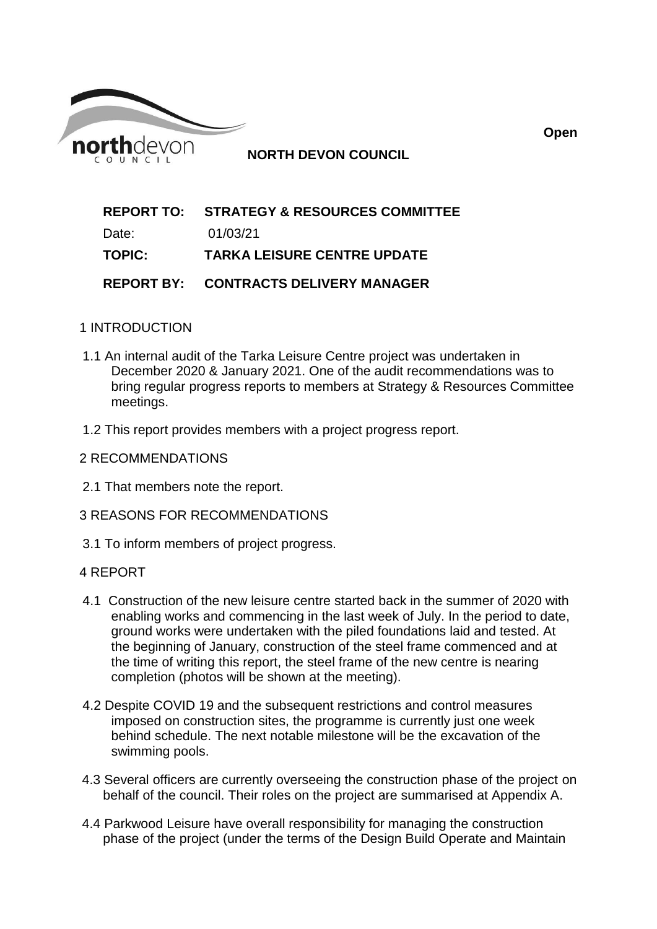

**Open**

### **REPORT TO: STRATEGY & RESOURCES COMMITTEE**

Date: 01/03/21

**TOPIC: TARKA LEISURE CENTRE UPDATE**

**REPORT BY: CONTRACTS DELIVERY MANAGER**

### 1 INTRODUCTION

- 1.1 An internal audit of the Tarka Leisure Centre project was undertaken in December 2020 & January 2021. One of the audit recommendations was to bring regular progress reports to members at Strategy & Resources Committee meetings.
- 1.2 This report provides members with a project progress report.
- 2 RECOMMENDATIONS
- 2.1 That members note the report.
- 3 REASONS FOR RECOMMENDATIONS
- 3.1 To inform members of project progress.

### 4 REPORT

- 4.1 Construction of the new leisure centre started back in the summer of 2020 with enabling works and commencing in the last week of July. In the period to date, ground works were undertaken with the piled foundations laid and tested. At the beginning of January, construction of the steel frame commenced and at the time of writing this report, the steel frame of the new centre is nearing completion (photos will be shown at the meeting).
- 4.2 Despite COVID 19 and the subsequent restrictions and control measures imposed on construction sites, the programme is currently just one week behind schedule. The next notable milestone will be the excavation of the swimming pools.
- 4.3 Several officers are currently overseeing the construction phase of the project on behalf of the council. Their roles on the project are summarised at Appendix A.
- 4.4 Parkwood Leisure have overall responsibility for managing the construction phase of the project (under the terms of the Design Build Operate and Maintain